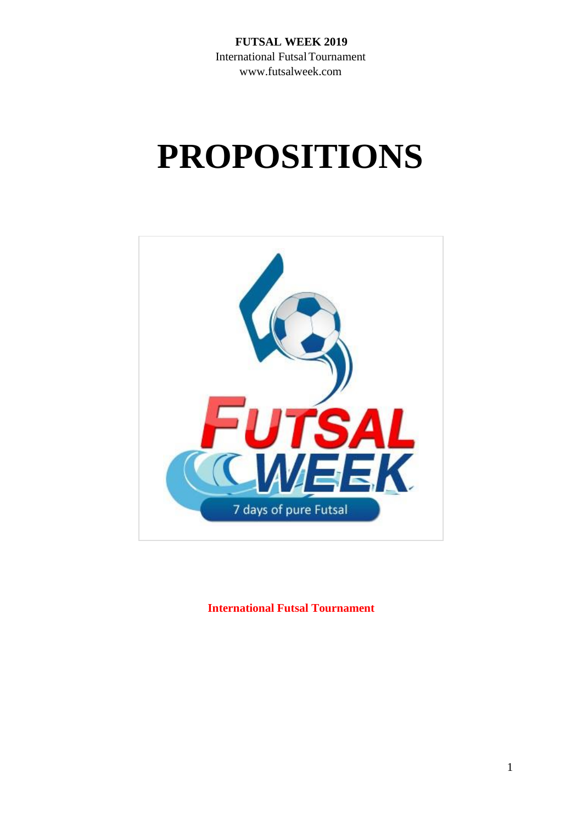**FUTSAL WEEK 2019** International FutsalTournament www.futsalweek.com

# **PROPOSITIONS**



**International Futsal Tournament**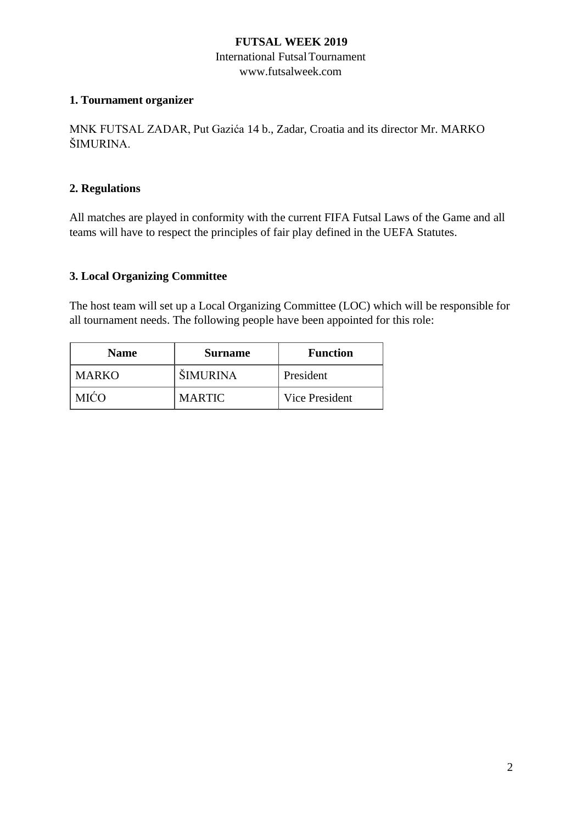### **FUTSAL WEEK 2019**

#### International FutsalTournament www.futsalweek.com

## **1. Tournament organizer**

MNK FUTSAL ZADAR, Put Gazića 14 b., Zadar, Croatia and its director Mr. MARKO ŠIMURINA.

## **2. Regulations**

All matches are played in conformity with the current FIFA Futsal Laws of the Game and all teams will have to respect the principles of fair play defined in the UEFA Statutes.

## **3. Local Organizing Committee**

The host team will set up a Local Organizing Committee (LOC) which will be responsible for all tournament needs. The following people have been appointed for this role:

| <b>Name</b> | <b>Surname</b>  | <b>Function</b> |
|-------------|-----------------|-----------------|
| MARKO       | <b>SIMURINA</b> | President       |
| AIĆO        | <b>MARTIC</b>   | Vice President  |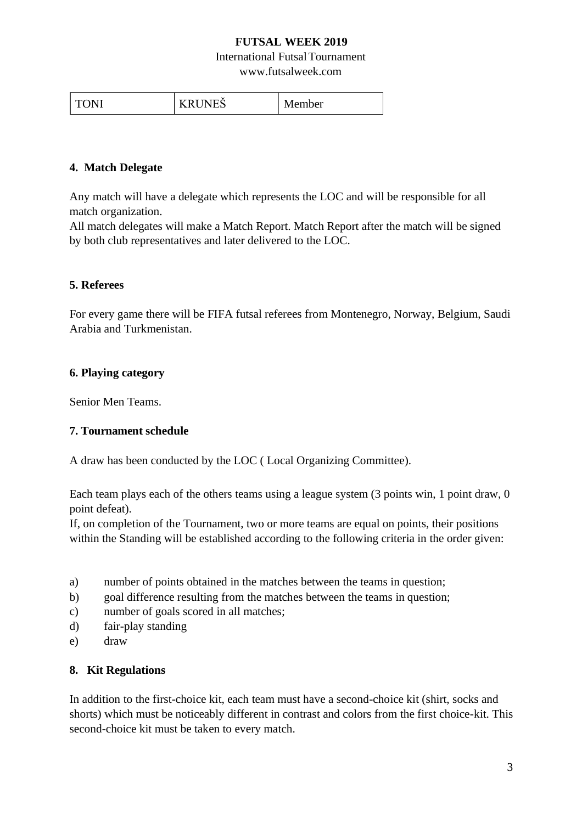## **FUTSAL WEEK 2019**

#### International FutsalTournament

www.futsalweek.com

| $ -$<br>. n |  | -<br>ber |
|-------------|--|----------|
|-------------|--|----------|

#### **4. Match Delegate**

Any match will have a delegate which represents the LOC and will be responsible for all match organization.

All match delegates will make a Match Report. Match Report after the match will be signed by both club representatives and later delivered to the LOC.

#### **5. Referees**

For every game there will be FIFA futsal referees from Montenegro, Norway, Belgium, Saudi Arabia and Turkmenistan.

#### **6. Playing category**

Senior Men Teams.

#### **7. Tournament schedule**

A draw has been conducted by the LOC ( Local Organizing Committee).

Each team plays each of the others teams using a league system (3 points win, 1 point draw, 0 point defeat).

If, on completion of the Tournament, two or more teams are equal on points, their positions within the Standing will be established according to the following criteria in the order given:

- a) number of points obtained in the matches between the teams in question;
- b) goal difference resulting from the matches between the teams in question;
- c) number of goals scored in all matches;
- d) fair-play standing
- e) draw

#### **8. Kit Regulations**

In addition to the first-choice kit, each team must have a second-choice kit (shirt, socks and shorts) which must be noticeably different in contrast and colors from the first choice-kit. This second-choice kit must be taken to every match.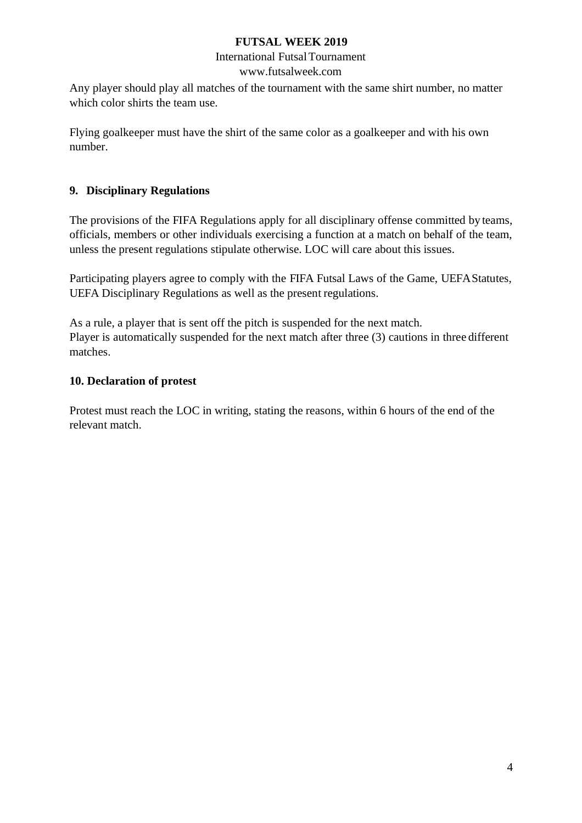### **FUTSAL WEEK 2019**

#### International FutsalTournament www.futsalweek.com

Any player should play all matches of the tournament with the same shirt number, no matter which color shirts the team use.

Flying goalkeeper must have the shirt of the same color as a goalkeeper and with his own number.

# **9. Disciplinary Regulations**

The provisions of the FIFA Regulations apply for all disciplinary offense committed by teams, officials, members or other individuals exercising a function at a match on behalf of the team, unless the present regulations stipulate otherwise. LOC will care about this issues.

Participating players agree to comply with the FIFA Futsal Laws of the Game, UEFAStatutes, UEFA Disciplinary Regulations as well as the present regulations.

As a rule, a player that is sent off the pitch is suspended for the next match. Player is automatically suspended for the next match after three (3) cautions in three different matches.

# **10. Declaration of protest**

Protest must reach the LOC in writing, stating the reasons, within 6 hours of the end of the relevant match.